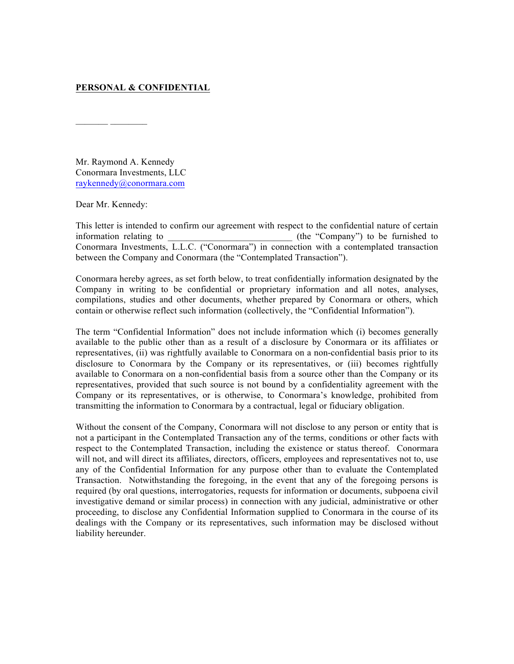## **PERSONAL & CONFIDENTIAL**

Mr. Raymond A. Kennedy Conormara Investments, LLC raykennedy@conormara.com

Dear Mr. Kennedy:

 $\mathcal{L}=\mathcal{L}^{\mathcal{L}}$  , where  $\mathcal{L}^{\mathcal{L}}$ 

This letter is intended to confirm our agreement with respect to the confidential nature of certain information relating to \_\_\_\_\_\_\_\_\_\_\_\_\_\_\_\_\_\_\_\_\_\_\_\_\_\_\_ (the "Company") to be furnished to Conormara Investments, L.L.C. ("Conormara") in connection with a contemplated transaction between the Company and Conormara (the "Contemplated Transaction").

Conormara hereby agrees, as set forth below, to treat confidentially information designated by the Company in writing to be confidential or proprietary information and all notes, analyses, compilations, studies and other documents, whether prepared by Conormara or others, which contain or otherwise reflect such information (collectively, the "Confidential Information").

The term "Confidential Information" does not include information which (i) becomes generally available to the public other than as a result of a disclosure by Conormara or its affiliates or representatives, (ii) was rightfully available to Conormara on a non-confidential basis prior to its disclosure to Conormara by the Company or its representatives, or (iii) becomes rightfully available to Conormara on a non-confidential basis from a source other than the Company or its representatives, provided that such source is not bound by a confidentiality agreement with the Company or its representatives, or is otherwise, to Conormara's knowledge, prohibited from transmitting the information to Conormara by a contractual, legal or fiduciary obligation.

Without the consent of the Company, Conormara will not disclose to any person or entity that is not a participant in the Contemplated Transaction any of the terms, conditions or other facts with respect to the Contemplated Transaction, including the existence or status thereof. Conormara will not, and will direct its affiliates, directors, officers, employees and representatives not to, use any of the Confidential Information for any purpose other than to evaluate the Contemplated Transaction. Notwithstanding the foregoing, in the event that any of the foregoing persons is required (by oral questions, interrogatories, requests for information or documents, subpoena civil investigative demand or similar process) in connection with any judicial, administrative or other proceeding, to disclose any Confidential Information supplied to Conormara in the course of its dealings with the Company or its representatives, such information may be disclosed without liability hereunder.